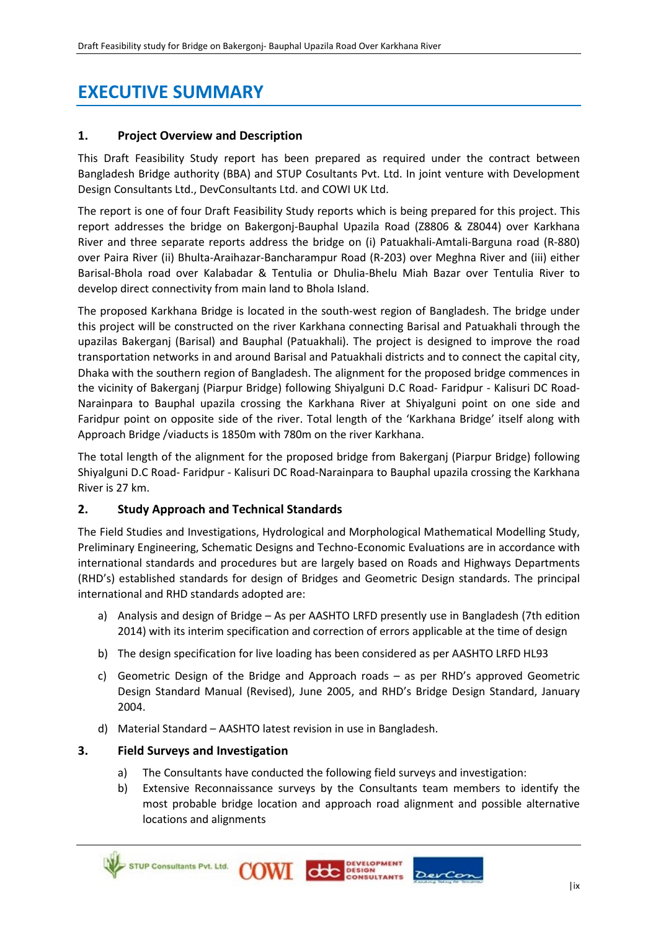# **EXECUTIVE SUMMARY**

# **1. Project Overview and Description**

This Draft Feasibility Study report has been prepared as required under the contract between Bangladesh Bridge authority (BBA) and STUP Cosultants Pvt. Ltd. In joint venture with Development Design Consultants Ltd., DevConsultants Ltd. and COWI UK Ltd.

The report is one of four Draft Feasibility Study reports which is being prepared for this project. This report addresses the bridge on Bakergonj-Bauphal Upazila Road (Z8806 & Z8044) over Karkhana River and three separate reports address the bridge on (i) Patuakhali-Amtali-Barguna road (R-880) over Paira River (ii) Bhulta-Araihazar-Bancharampur Road (R-203) over Meghna River and (iii) either Barisal-Bhola road over Kalabadar & Tentulia or Dhulia-Bhelu Miah Bazar over Tentulia River to develop direct connectivity from main land to Bhola Island.

The proposed Karkhana Bridge is located in the south-west region of Bangladesh. The bridge under this project will be constructed on the river Karkhana connecting Barisal and Patuakhali through the upazilas Bakerganj (Barisal) and Bauphal (Patuakhali). The project is designed to improve the road transportation networks in and around Barisal and Patuakhali districts and to connect the capital city, Dhaka with the southern region of Bangladesh. The alignment for the proposed bridge commences in the vicinity of Bakerganj (Piarpur Bridge) following Shiyalguni D.C Road- Faridpur - Kalisuri DC Road-Narainpara to Bauphal upazila crossing the Karkhana River at Shiyalguni point on one side and Faridpur point on opposite side of the river. Total length of the 'Karkhana Bridge' itself along with Approach Bridge /viaducts is 1850m with 780m on the river Karkhana.

The total length of the alignment for the proposed bridge from Bakerganj (Piarpur Bridge) following Shiyalguni D.C Road- Faridpur - Kalisuri DC Road-Narainpara to Bauphal upazila crossing the Karkhana River is 27 km.

# **2. Study Approach and Technical Standards**

The Field Studies and Investigations, Hydrological and Morphological Mathematical Modelling Study, Preliminary Engineering, Schematic Designs and Techno-Economic Evaluations are in accordance with international standards and procedures but are largely based on Roads and Highways Departments (RHD's) established standards for design of Bridges and Geometric Design standards. The principal international and RHD standards adopted are:

- a) Analysis and design of Bridge As per AASHTO LRFD presently use in Bangladesh (7th edition 2014) with its interim specification and correction of errors applicable at the time of design
- b) The design specification for live loading has been considered as per AASHTO LRFD HL93
- c) Geometric Design of the Bridge and Approach roads as per RHD's approved Geometric Design Standard Manual (Revised), June 2005, and RHD's Bridge Design Standard, January 2004.
- d) Material Standard AASHTO latest revision in use in Bangladesh.

# **3. Field Surveys and Investigation**

- a) The Consultants have conducted the following field surveys and investigation:
- b) Extensive Reconnaissance surveys by the Consultants team members to identify the most probable bridge location and approach road alignment and possible alternative locations and alignments





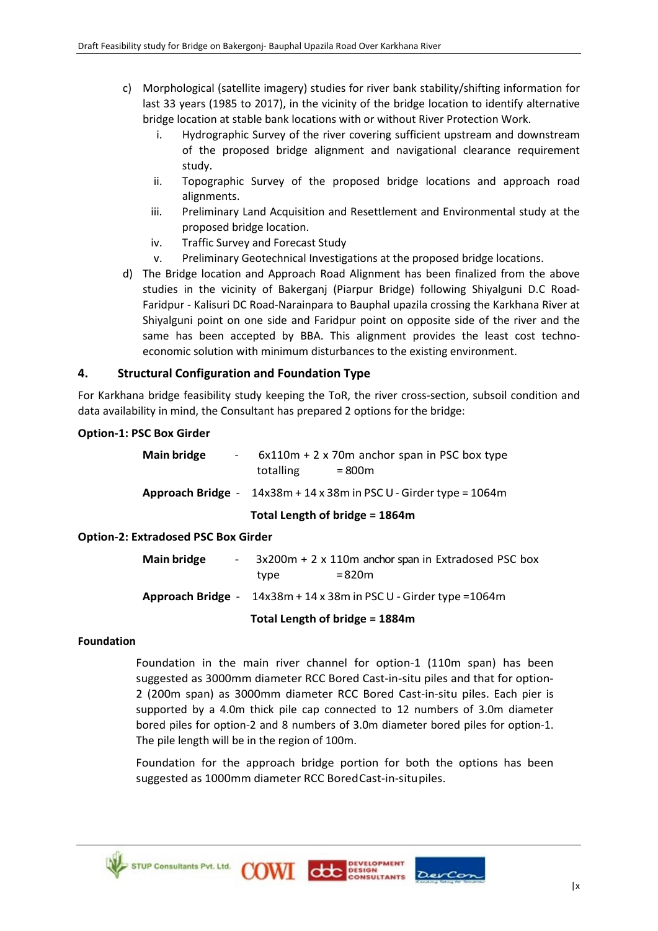- c) Morphological (satellite imagery) studies for river bank stability/shifting information for last 33 years (1985 to 2017), in the vicinity of the bridge location to identify alternative bridge location at stable bank locations with or without River Protection Work.
	- i. Hydrographic Survey of the river covering sufficient upstream and downstream of the proposed bridge alignment and navigational clearance requirement study.
	- ii. Topographic Survey of the proposed bridge locations and approach road alignments.
	- iii. Preliminary Land Acquisition and Resettlement and Environmental study at the proposed bridge location.
	- iv. Traffic Survey and Forecast Study
	- v. Preliminary Geotechnical Investigations at the proposed bridge locations.
- d) The Bridge location and Approach Road Alignment has been finalized from the above studies in the vicinity of Bakerganj (Piarpur Bridge) following Shiyalguni D.C Road-Faridpur - Kalisuri DC Road-Narainpara to Bauphal upazila crossing the Karkhana River at Shiyalguni point on one side and Faridpur point on opposite side of the river and the same has been accepted by BBA. This alignment provides the least cost technoeconomic solution with minimum disturbances to the existing environment.

# **4. Structural Configuration and Foundation Type**

For Karkhana bridge feasibility study keeping the ToR, the river cross-section, subsoil condition and data availability in mind, the Consultant has prepared 2 options for the bridge:

#### **Option-1: PSC Box Girder**

|                       | Total Length of bridge = 1864m                                         |
|-----------------------|------------------------------------------------------------------------|
|                       | Approach Bridge - $14x38m + 14x38m$ in PSC U - Girder type = $1064m$   |
| Main bridge<br>$\sim$ | $6x110m + 2x$ 70m anchor span in PSC box type<br>totalling<br>$= 800m$ |

# **Option-2: Extradosed PSC Box Girder**

| <b>Main bridge</b> | type                           | 3x200m + 2 x 110m anchor span in Extradosed PSC box<br>$= 820m$<br>Approach Bridge - $14x38m + 14x38m$ in PSC U - Girder type = 1064m |  |
|--------------------|--------------------------------|---------------------------------------------------------------------------------------------------------------------------------------|--|
|                    | Total Length of bridge = 1884m |                                                                                                                                       |  |

#### **Foundation**

Foundation in the main river channel for option-1 (110m span) has been suggested as 3000mm diameter RCC Bored Cast-in-situ piles and that for option-2 (200m span) as 3000mm diameter RCC Bored Cast-in-situ piles. Each pier is supported by a 4.0m thick pile cap connected to 12 numbers of 3.0m diameter bored piles for option-2 and 8 numbers of 3.0m diameter bored piles for option-1. The pile length will be in the region of 100m.

Foundation for the approach bridge portion for both the options has been suggested as 1000mm diameter RCC BoredCast-in-situpiles.

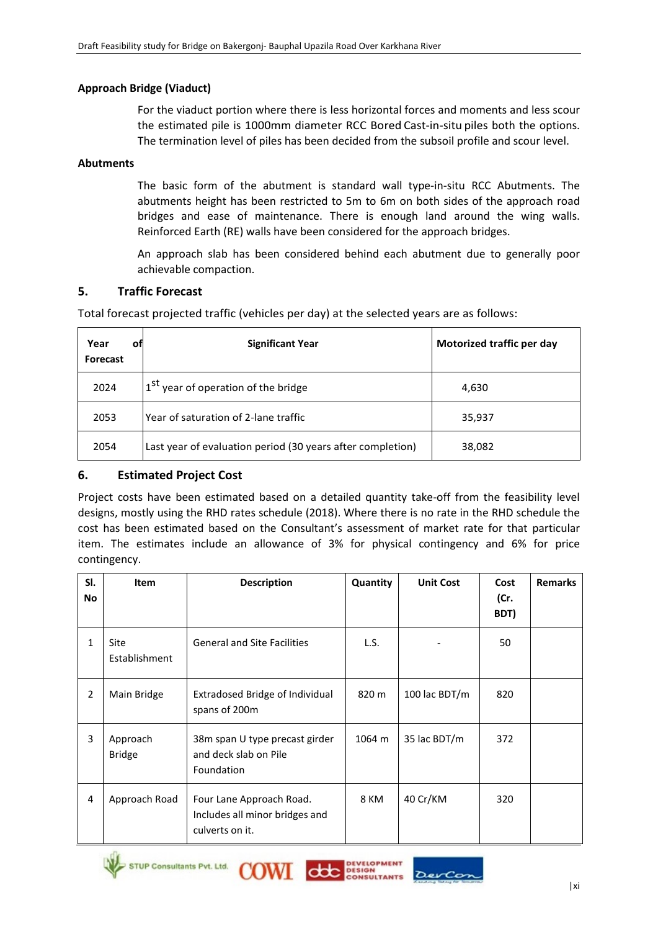# **Approach Bridge (Viaduct)**

For the viaduct portion where there is less horizontal forces and moments and less scour the estimated pile is 1000mm diameter RCC Bored Cast-in-situ piles both the options. The termination level of piles has been decided from the subsoil profile and scour level.

#### **Abutments**

The basic form of the abutment is standard wall type-in-situ RCC Abutments. The abutments height has been restricted to 5m to 6m on both sides of the approach road bridges and ease of maintenance. There is enough land around the wing walls. Reinforced Earth (RE) walls have been considered for the approach bridges.

An approach slab has been considered behind each abutment due to generally poor achievable compaction.

#### **5. Traffic Forecast**

Total forecast projected traffic (vehicles per day) at the selected years are as follows:

| Year<br>οt<br><b>Forecast</b> | <b>Significant Year</b>                                    | Motorized traffic per day |
|-------------------------------|------------------------------------------------------------|---------------------------|
| 2024                          | 1 <sup>St</sup> year of operation of the bridge            | 4,630                     |
| 2053                          | Year of saturation of 2-lane traffic                       | 35,937                    |
| 2054                          | Last year of evaluation period (30 years after completion) | 38,082                    |

# **6. Estimated Project Cost**

Project costs have been estimated based on a detailed quantity take-off from the feasibility level designs, mostly using the RHD rates schedule (2018). Where there is no rate in the RHD schedule the cost has been estimated based on the Consultant's assessment of market rate for that particular item. The estimates include an allowance of 3% for physical contingency and 6% for price contingency.

| SI.<br><b>No</b> | <b>Item</b>                  | <b>Description</b>                                                            | Quantity | <b>Unit Cost</b> | Cost<br>(Cr.<br>BDT) | <b>Remarks</b> |
|------------------|------------------------------|-------------------------------------------------------------------------------|----------|------------------|----------------------|----------------|
| 1                | <b>Site</b><br>Establishment | <b>General and Site Facilities</b>                                            | L.S.     |                  | 50                   |                |
| $\overline{2}$   | Main Bridge                  | Extradosed Bridge of Individual<br>spans of 200m                              | 820 m    | 100 lac BDT/m    | 820                  |                |
| 3                | Approach<br><b>Bridge</b>    | 38 m span U type precast girder<br>and deck slab on Pile<br>Foundation        | 1064 m   | 35 lac BDT/m     | 372                  |                |
| 4                | Approach Road                | Four Lane Approach Road.<br>Includes all minor bridges and<br>culverts on it. | 8 KM     | 40 Cr/KM         | 320                  |                |